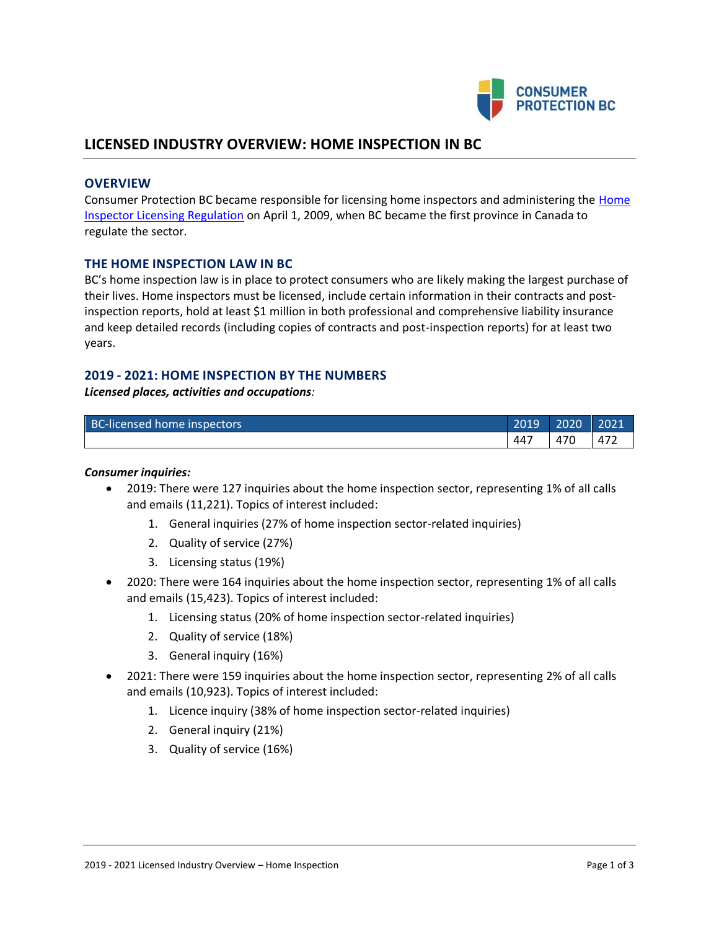

# **LICENSED INDUSTRY OVERVIEW: HOME INSPECTION IN BC**

#### **OVERVIEW**

Consumer Protection BC became responsible for licensing home inspectors and administering the Home [Inspector Licensing Regulation](http://www.bclaws.ca/Recon/document/ID/freeside/15_12_2009) on April 1, 2009, when BC became the first province in Canada to regulate the sector.

### **THE HOME INSPECTION LAW IN BC**

BC's home inspection law is in place to protect consumers who are likely making the largest purchase of their lives. Home inspectors must be licensed, include certain information in their contracts and postinspection reports, hold at least \$1 million in both professional and comprehensive liability insurance and keep detailed records (including copies of contracts and post-inspection reports) for at least two years.

### **2019 - 2021: HOME INSPECTION BY THE NUMBERS**

*Licensed places, activities and occupations:*

| BC-licensed home inspectors | 2019 | 2020 | 2021 |
|-----------------------------|------|------|------|
|                             | 447  | 470  | -472 |

#### *Consumer inquiries:*

- 2019: There were 127 inquiries about the home inspection sector, representing 1% of all calls and emails (11,221). Topics of interest included:
	- 1. General inquiries (27% of home inspection sector-related inquiries)
	- 2. Quality of service (27%)
	- 3. Licensing status (19%)
- 2020: There were 164 inquiries about the home inspection sector, representing 1% of all calls and emails (15,423). Topics of interest included:
	- 1. Licensing status (20% of home inspection sector-related inquiries)
	- 2. Quality of service (18%)
	- 3. General inquiry (16%)
- 2021: There were 159 inquiries about the home inspection sector, representing 2% of all calls and emails (10,923). Topics of interest included:
	- 1. Licence inquiry (38% of home inspection sector-related inquiries)
	- 2. General inquiry (21%)
	- 3. Quality of service (16%)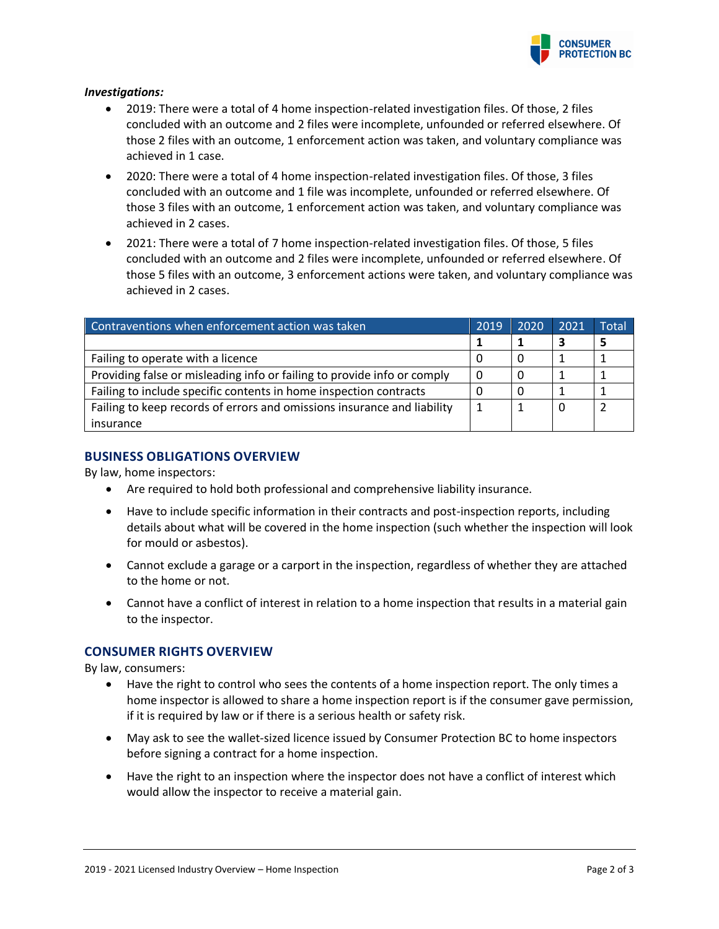

#### *Investigations:*

- 2019: There were a total of 4 home inspection-related investigation files. Of those, 2 files concluded with an outcome and 2 files were incomplete, unfounded or referred elsewhere. Of those 2 files with an outcome, 1 enforcement action was taken, and voluntary compliance was achieved in 1 case.
- 2020: There were a total of 4 home inspection-related investigation files. Of those, 3 files concluded with an outcome and 1 file was incomplete, unfounded or referred elsewhere. Of those 3 files with an outcome, 1 enforcement action was taken, and voluntary compliance was achieved in 2 cases.
- 2021: There were a total of 7 home inspection-related investigation files. Of those, 5 files concluded with an outcome and 2 files were incomplete, unfounded or referred elsewhere. Of those 5 files with an outcome, 3 enforcement actions were taken, and voluntary compliance was achieved in 2 cases.

| Contraventions when enforcement action was taken                        | 2019 | 2020 | 2021 | Total |
|-------------------------------------------------------------------------|------|------|------|-------|
|                                                                         |      |      |      |       |
| Failing to operate with a licence                                       |      |      |      |       |
| Providing false or misleading info or failing to provide info or comply | 0    |      |      |       |
| Failing to include specific contents in home inspection contracts       |      |      |      |       |
| Failing to keep records of errors and omissions insurance and liability |      |      |      |       |
| insurance                                                               |      |      |      |       |

### **BUSINESS OBLIGATIONS OVERVIEW**

By law, home inspectors:

- Are required to hold both professional and comprehensive liability insurance.
- Have to include specific information in their contracts and post-inspection reports, including details about what will be covered in the home inspection (such whether the inspection will look for mould or asbestos).
- Cannot exclude a garage or a carport in the inspection, regardless of whether they are attached to the home or not.
- Cannot have a conflict of interest in relation to a home inspection that results in a material gain to the inspector.

### **CONSUMER RIGHTS OVERVIEW**

By law, consumers:

- Have the right to control who sees the contents of a home inspection report. The only times a home inspector is allowed to share a home inspection report is if the consumer gave permission, if it is required by law or if there is a serious health or safety risk.
- May ask to see the wallet-sized licence issued by Consumer Protection BC to home inspectors before signing a contract for a home inspection.
- Have the right to an inspection where the inspector does not have a conflict of interest which would allow the inspector to receive a material gain.